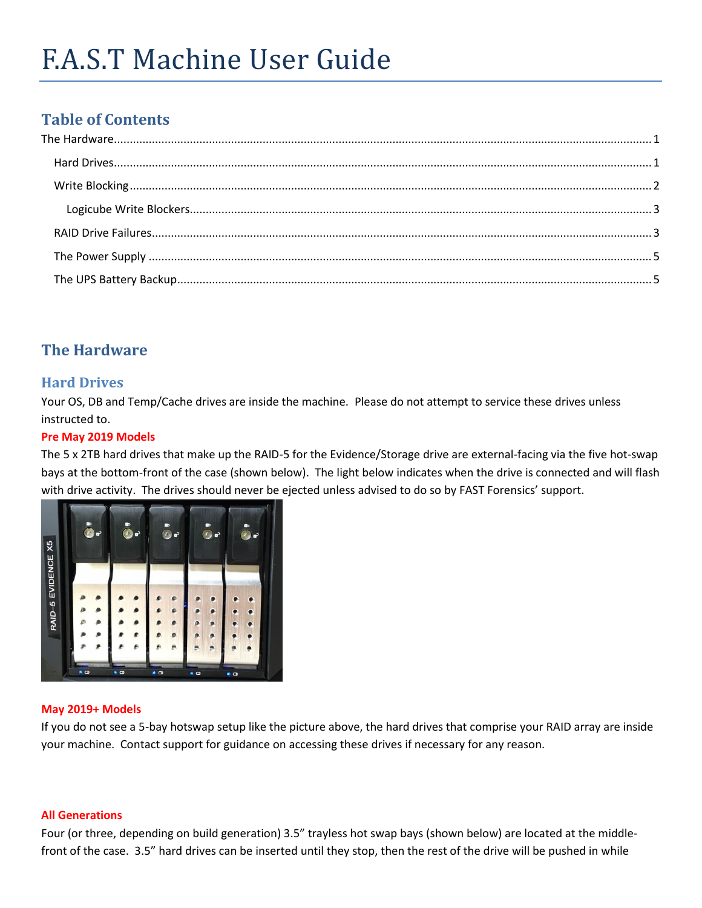# **Table of Contents**

# <span id="page-0-0"></span>**The Hardware**

# <span id="page-0-1"></span>**Hard Drives**

Your OS, DB and Temp/Cache drives are inside the machine. Please do not attempt to service these drives unless instructed to.

#### **Pre May 2019 Models**

The 5 x 2TB hard drives that make up the RAID-5 for the Evidence/Storage drive are external-facing via the five hot-swap bays at the bottom-front of the case (shown below). The light below indicates when the drive is connected and will flash with drive activity. The drives should never be ejected unless advised to do so by FAST Forensics' support.



#### **May 2019+ Models**

If you do not see a 5-bay hotswap setup like the picture above, the hard drives that comprise your RAID array are inside your machine. Contact support for guidance on accessing these drives if necessary for any reason.

#### **All Generations**

Four (or three, depending on build generation) 3.5" trayless hot swap bays (shown below) are located at the middlefront of the case. 3.5" hard drives can be inserted until they stop, then the rest of the drive will be pushed in while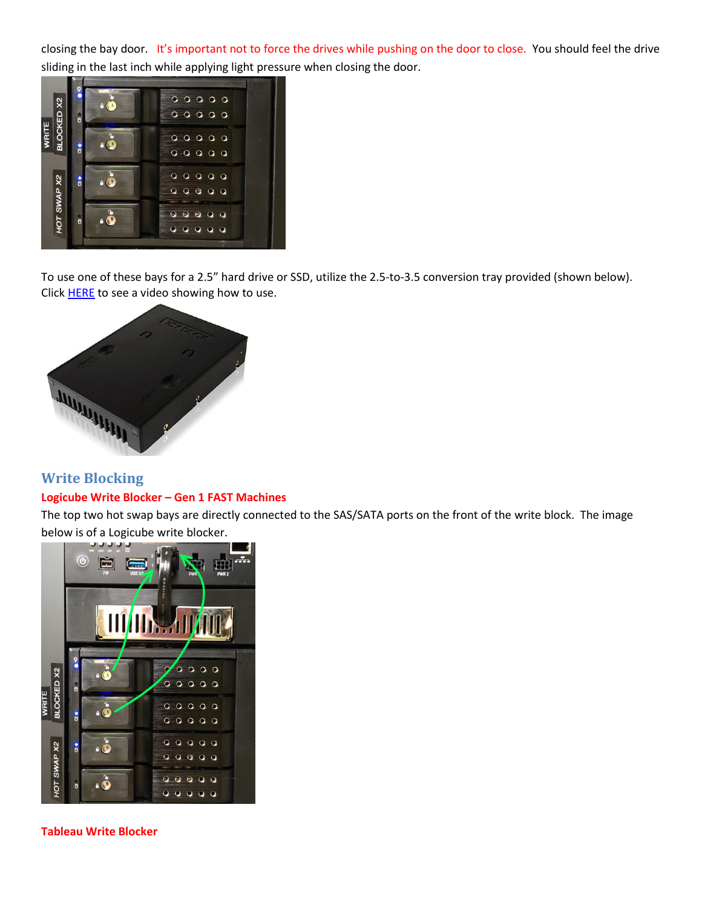closing the bay door. It's important not to force the drives while pushing on the door to close. You should feel the drive sliding in the last inch while applying light pressure when closing the door.



To use one of these bays for a 2.5" hard drive or SSD, utilize the 2.5-to-3.5 conversion tray provided (shown below). Click **HERE** to see a video showing how to use.



## <span id="page-1-0"></span>**Write Blocking Logicube Write Blocker – Gen 1 FAST Machines**

The top two hot swap bays are directly connected to the SAS/SATA ports on the front of the write block. The image below is of a Logicube write blocker.



**Tableau Write Blocker**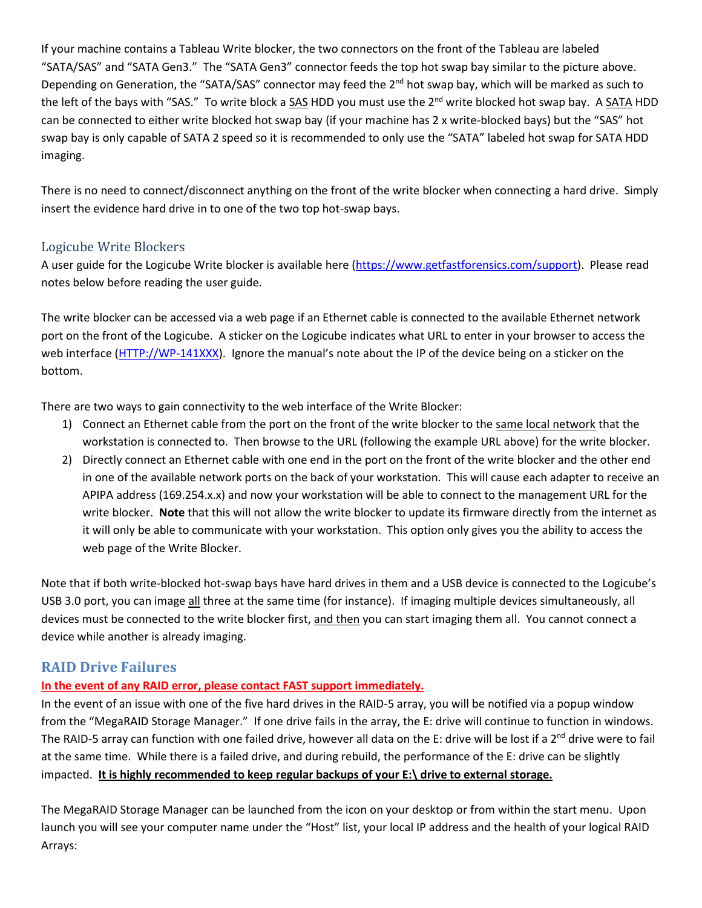If your machine contains a Tableau Write blocker, the two connectors on the front of the Tableau are labeled "SATA/SAS" and "SATA Gen3." The "SATA Gen3" connector feeds the top hot swap bay similar to the picture above. Depending on Generation, the "SATA/SAS" connector may feed the 2<sup>nd</sup> hot swap bay, which will be marked as such to the left of the bays with "SAS." To write block a SAS HDD you must use the 2<sup>nd</sup> write blocked hot swap bay. A SATA HDD can be connected to either write blocked hot swap bay (if your machine has 2 x write-blocked bays) but the "SAS" hot swap bay is only capable of SATA 2 speed so it is recommended to only use the "SATA" labeled hot swap for SATA HDD imaging.

There is no need to connect/disconnect anything on the front of the write blocker when connecting a hard drive. Simply insert the evidence hard drive in to one of the two top hot-swap bays.

#### <span id="page-2-0"></span>Logicube Write Blockers

A user guide for the Logicube Write blocker is available here [\(https://www.getfastforensics.com/support\)](https://www.getfastforensics.com/support). Please read notes below before reading the user guide.

The write blocker can be accessed via a web page if an Ethernet cable is connected to the available Ethernet network port on the front of the Logicube. A sticker on the Logicube indicates what URL to enter in your browser to access the web interface [\(HTTP://WP-141XXX\)](http://wp-141xxx/). Ignore the manual's note about the IP of the device being on a sticker on the bottom.

There are two ways to gain connectivity to the web interface of the Write Blocker:

- 1) Connect an Ethernet cable from the port on the front of the write blocker to the same local network that the workstation is connected to. Then browse to the URL (following the example URL above) for the write blocker.
- 2) Directly connect an Ethernet cable with one end in the port on the front of the write blocker and the other end in one of the available network ports on the back of your workstation. This will cause each adapter to receive an APIPA address (169.254.x.x) and now your workstation will be able to connect to the management URL for the write blocker. **Note** that this will not allow the write blocker to update its firmware directly from the internet as it will only be able to communicate with your workstation. This option only gives you the ability to access the web page of the Write Blocker.

Note that if both write-blocked hot-swap bays have hard drives in them and a USB device is connected to the Logicube's USB 3.0 port, you can image all three at the same time (for instance). If imaging multiple devices simultaneously, all devices must be connected to the write blocker first, and then you can start imaging them all. You cannot connect a device while another is already imaging.

#### <span id="page-2-1"></span>**RAID Drive Failures**

#### **In the event of any RAID error, please contact FAST support immediately.**

In the event of an issue with one of the five hard drives in the RAID-5 array, you will be notified via a popup window from the "MegaRAID Storage Manager." If one drive fails in the array, the E: drive will continue to function in windows. The RAID-5 array can function with one failed drive, however all data on the E: drive will be lost if a  $2^{nd}$  drive were to fail at the same time. While there is a failed drive, and during rebuild, the performance of the E: drive can be slightly impacted. **It is highly recommended to keep regular backups of your E:\ drive to external storage.**

The MegaRAID Storage Manager can be launched from the icon on your desktop or from within the start menu. Upon launch you will see your computer name under the "Host" list, your local IP address and the health of your logical RAID Arrays: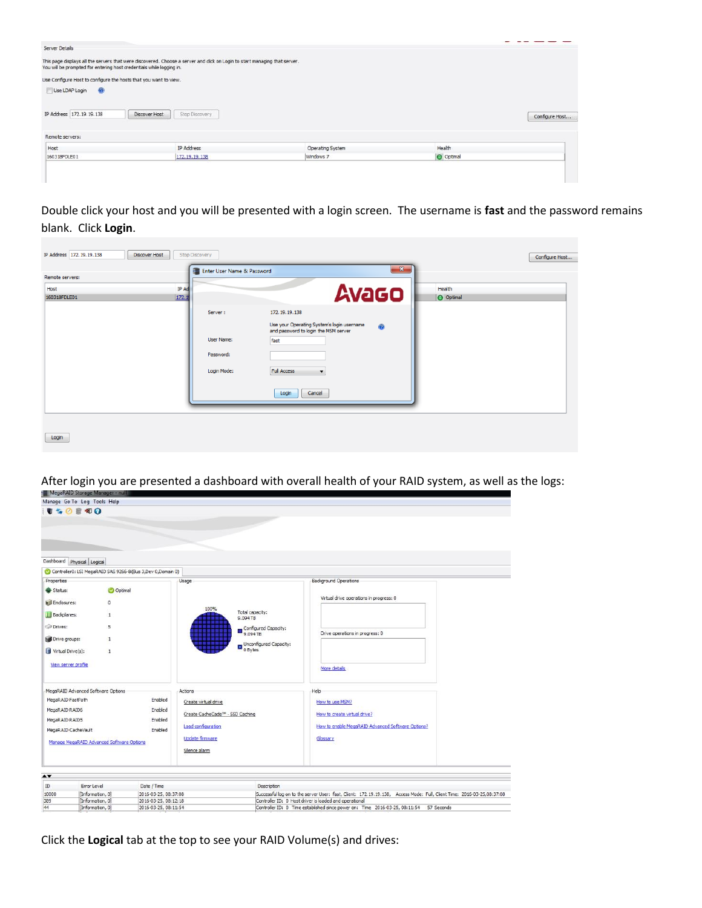

Double click your host and you will be presented with a login screen. The username is **fast** and the password remains blank. Click **Login**.

|                 |       | Enter User Name & Password | $\mathbf{x}$                                    |           |  |
|-----------------|-------|----------------------------|-------------------------------------------------|-----------|--|
| Remote servers: |       |                            |                                                 |           |  |
| Host            | IP Ad |                            |                                                 | Health    |  |
| 160318FDLE01    | 172.1 |                            | <b>Avago</b>                                    | O Optimal |  |
|                 |       | Server:                    | 172.19.19.138                                   |           |  |
|                 |       |                            | Use your Operating System's login username<br>0 |           |  |
|                 |       | User Name:                 | and password to login the MSM server<br>fast    |           |  |
|                 |       |                            |                                                 |           |  |
|                 |       | Password:                  |                                                 |           |  |
|                 |       | Login Mode:                | <b>Full Access</b><br>$\overline{\phantom{a}}$  |           |  |
|                 |       |                            | Cancel<br>Login                                 |           |  |
|                 |       |                            |                                                 |           |  |
|                 |       |                            |                                                 |           |  |
|                 |       |                            |                                                 |           |  |

# After login you are presented a dashboard with overall health of your RAID system, as well as the logs:<br>IntegrikalD Storage Manager and II



Click the **Logical** tab at the top to see your RAID Volume(s) and drives:

[Information, 0]

2016-03-25, 08:11:54